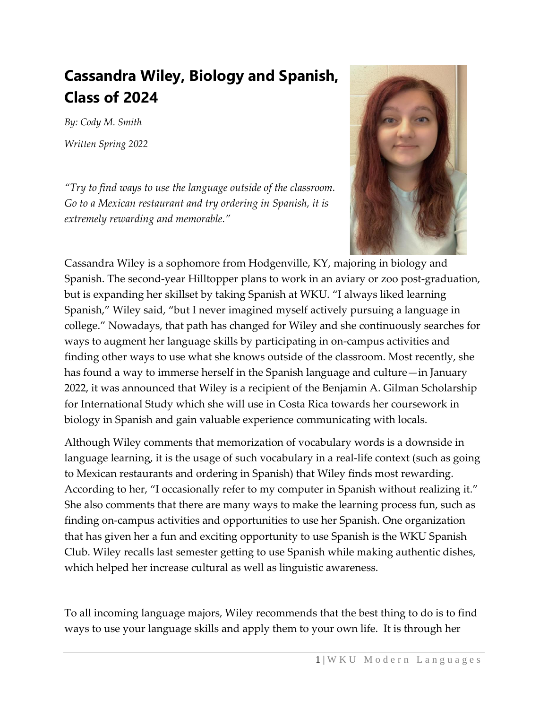## **Cassandra Wiley, Biology and Spanish, Class of 2024**

*By: Cody M. Smith Written Spring 2022*

*"Try to find ways to use the language outside of the classroom. Go to a Mexican restaurant and try ordering in Spanish, it is extremely rewarding and memorable."*



Cassandra Wiley is a sophomore from Hodgenville, KY, majoring in biology and Spanish. The second-year Hilltopper plans to work in an aviary or zoo post-graduation, but is expanding her skillset by taking Spanish at WKU. "I always liked learning Spanish," Wiley said, "but I never imagined myself actively pursuing a language in college." Nowadays, that path has changed for Wiley and she continuously searches for ways to augment her language skills by participating in on-campus activities and finding other ways to use what she knows outside of the classroom. Most recently, she has found a way to immerse herself in the Spanish language and culture—in January 2022, it was announced that Wiley is a recipient of the Benjamin A. Gilman Scholarship for International Study which she will use in Costa Rica towards her coursework in biology in Spanish and gain valuable experience communicating with locals.

Although Wiley comments that memorization of vocabulary words is a downside in language learning, it is the usage of such vocabulary in a real-life context (such as going to Mexican restaurants and ordering in Spanish) that Wiley finds most rewarding. According to her, "I occasionally refer to my computer in Spanish without realizing it." She also comments that there are many ways to make the learning process fun, such as finding on-campus activities and opportunities to use her Spanish. One organization that has given her a fun and exciting opportunity to use Spanish is the WKU Spanish Club. Wiley recalls last semester getting to use Spanish while making authentic dishes, which helped her increase cultural as well as linguistic awareness.

To all incoming language majors, Wiley recommends that the best thing to do is to find ways to use your language skills and apply them to your own life. It is through her